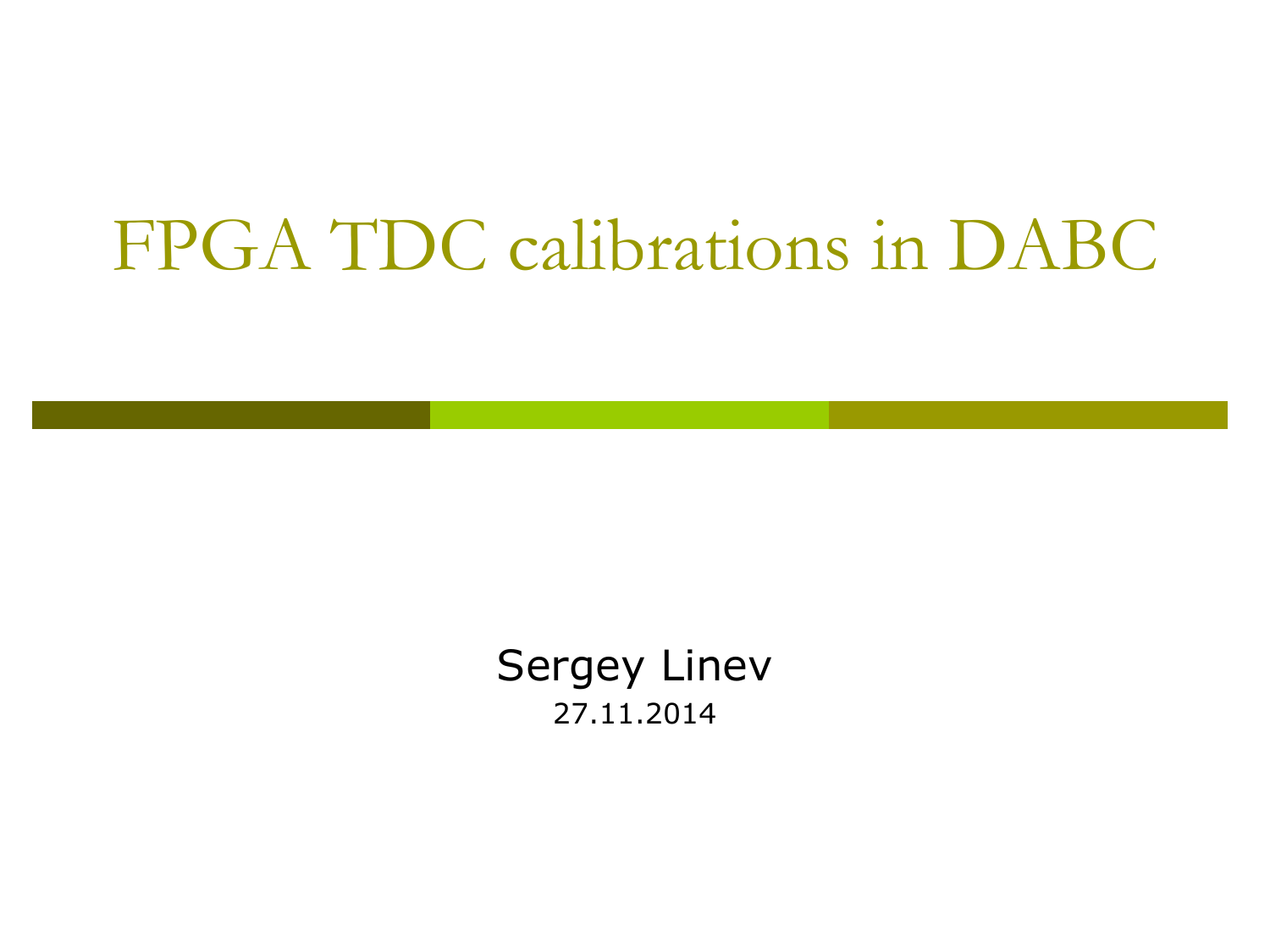### FPGA TDC calibrations in DABC

Sergey Linev 27.11.2014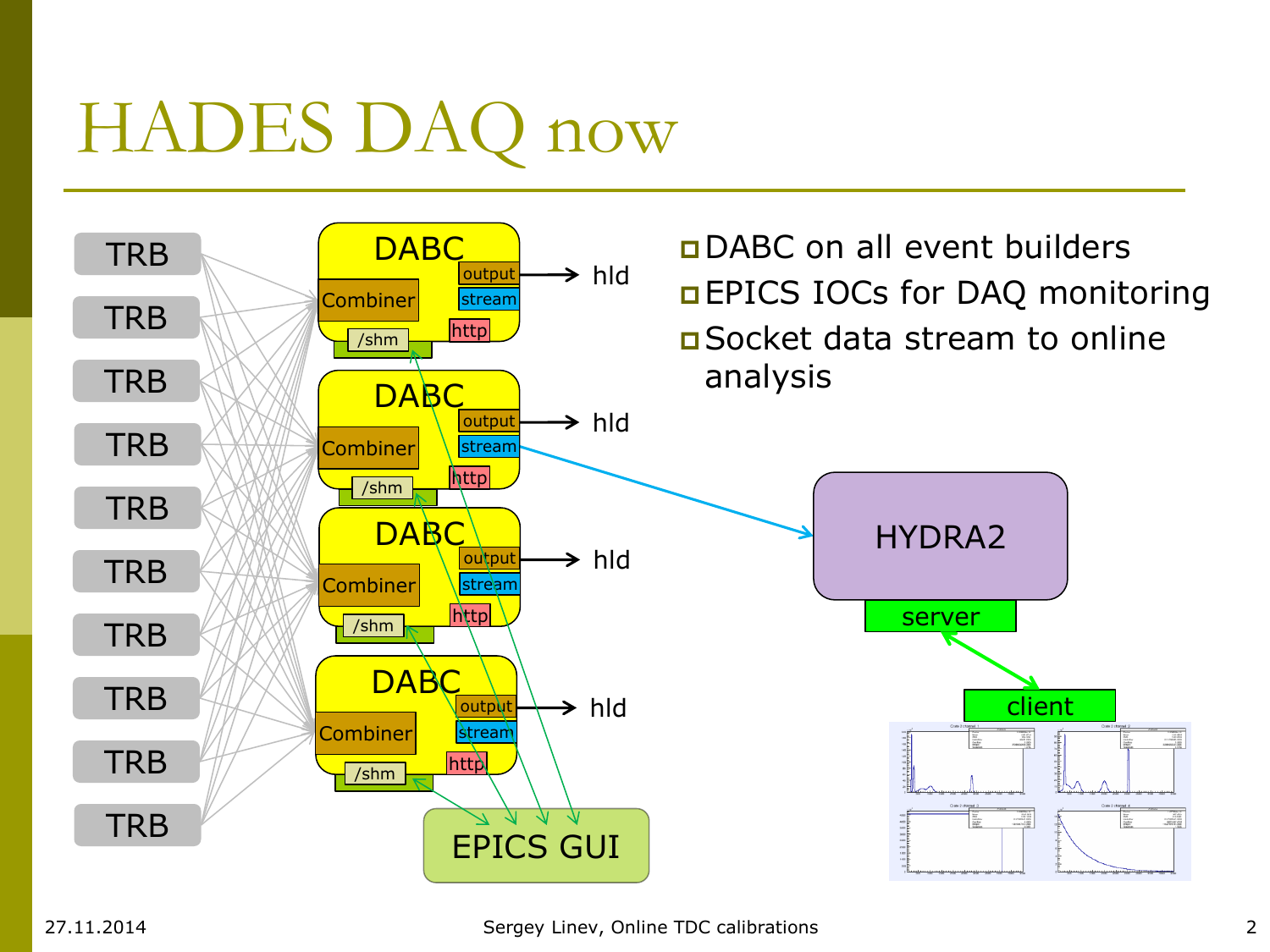# HADES DAQ now

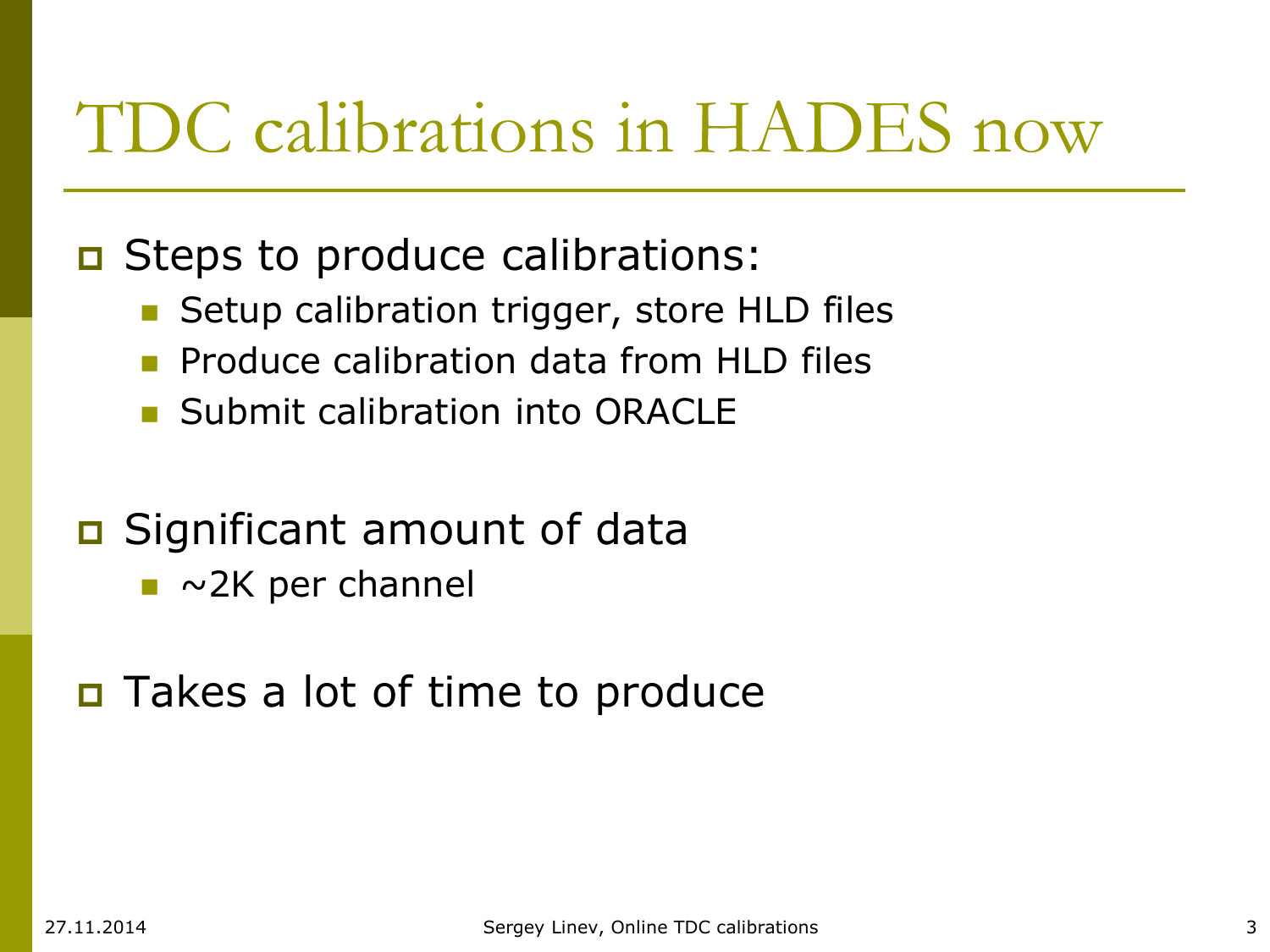## TDC calibrations in HADES now

#### **D** Steps to produce calibrations:

- Setup calibration trigger, store HLD files
- **Produce calibration data from HLD files**
- **Submit calibration into ORACLE**

#### **D** Significant amount of data

 $\blacksquare$  ~2K per channel

#### Takes a lot of time to produce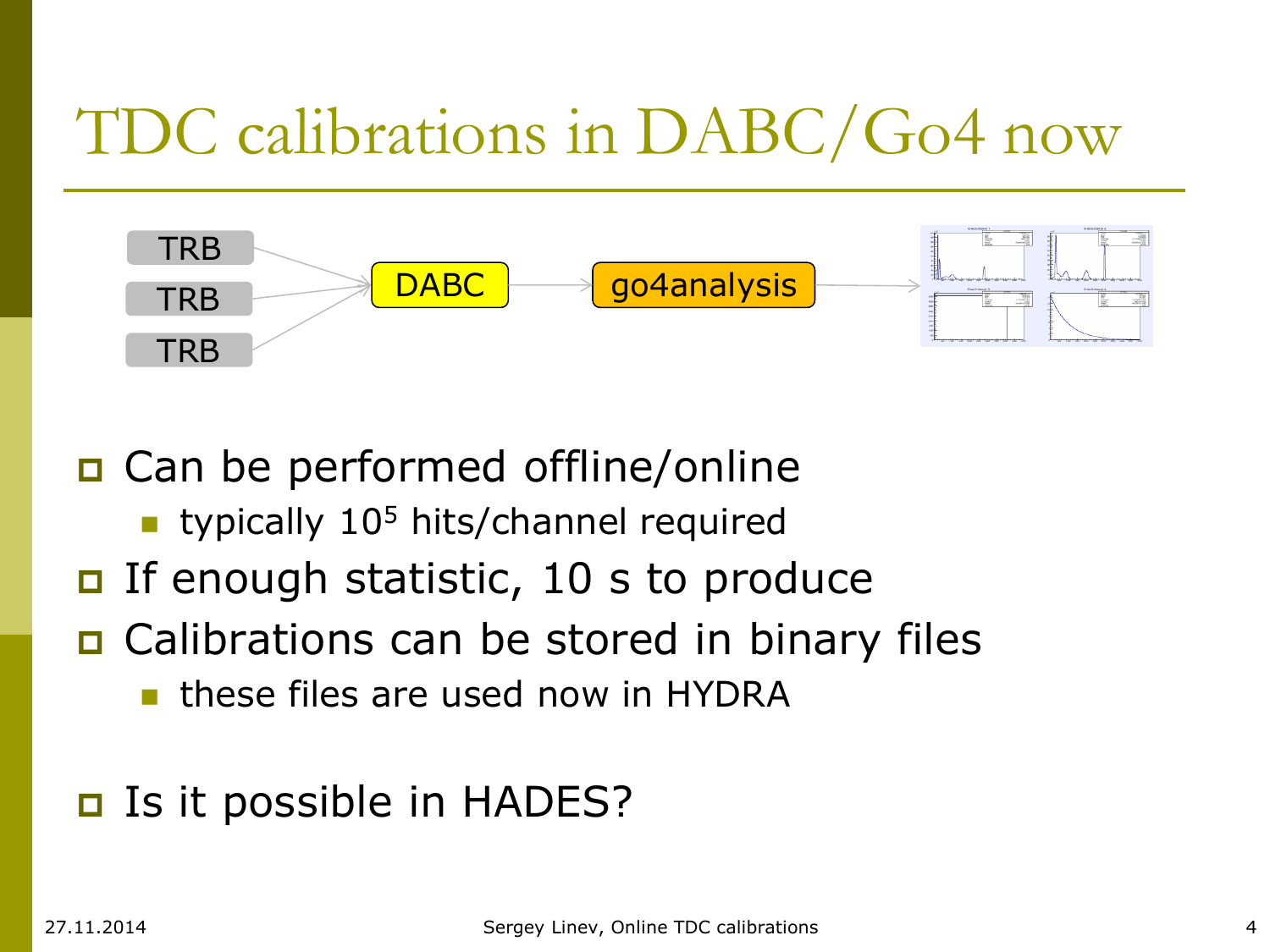### TDC calibrations in DABC/Go4 now



□ Can be performed offline/online **typically 10<sup>5</sup> hits/channel required** If enough statistic, 10 s to produce □ Calibrations can be stored in binary files

these files are used now in HYDRA

#### Is it possible in HADES?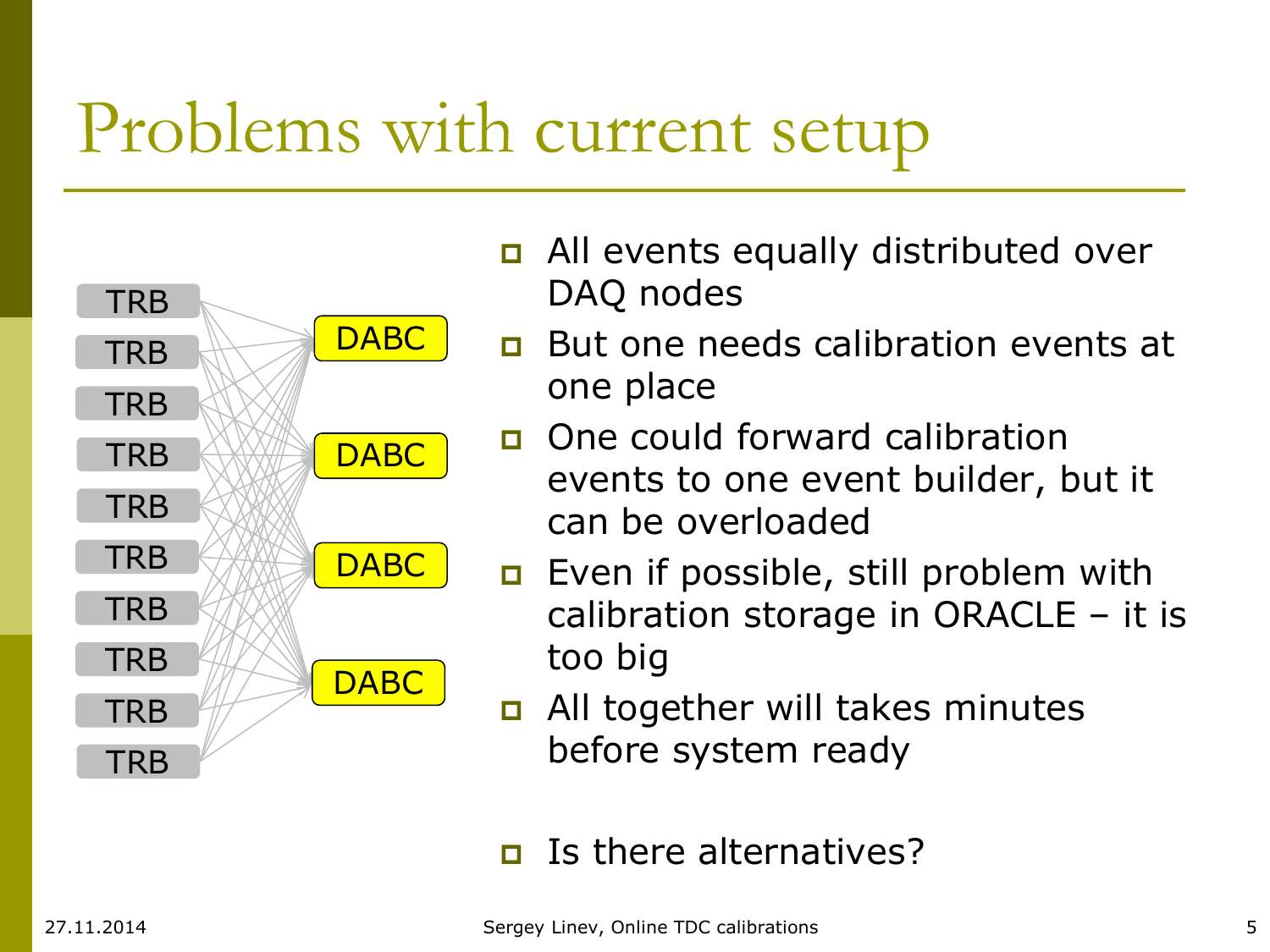## Problems with current setup



- **D** All events equally distributed over DAQ nodes
- **But one needs calibration events at** one place
- **D** One could forward calibration events to one event builder, but it can be overloaded
- **Example Figure 1** Even if possible, still problem with calibration storage in ORACLE – it is too big
- **D** All together will takes minutes before system ready

 $\Box$  Is there alternatives?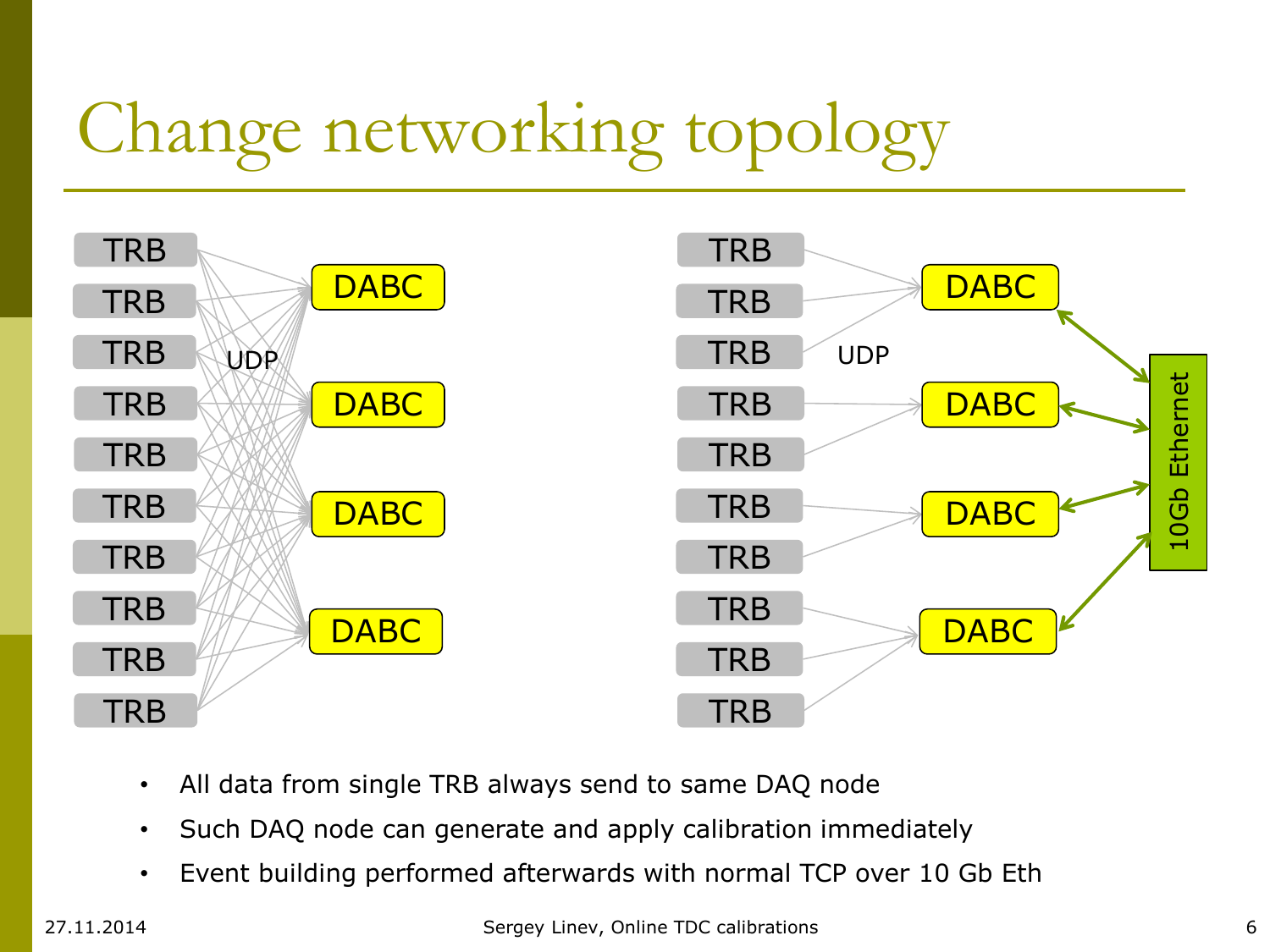# Change networking topology



- All data from single TRB always send to same DAQ node
- Such DAQ node can generate and apply calibration immediately
- Event building performed afterwards with normal TCP over 10 Gb Eth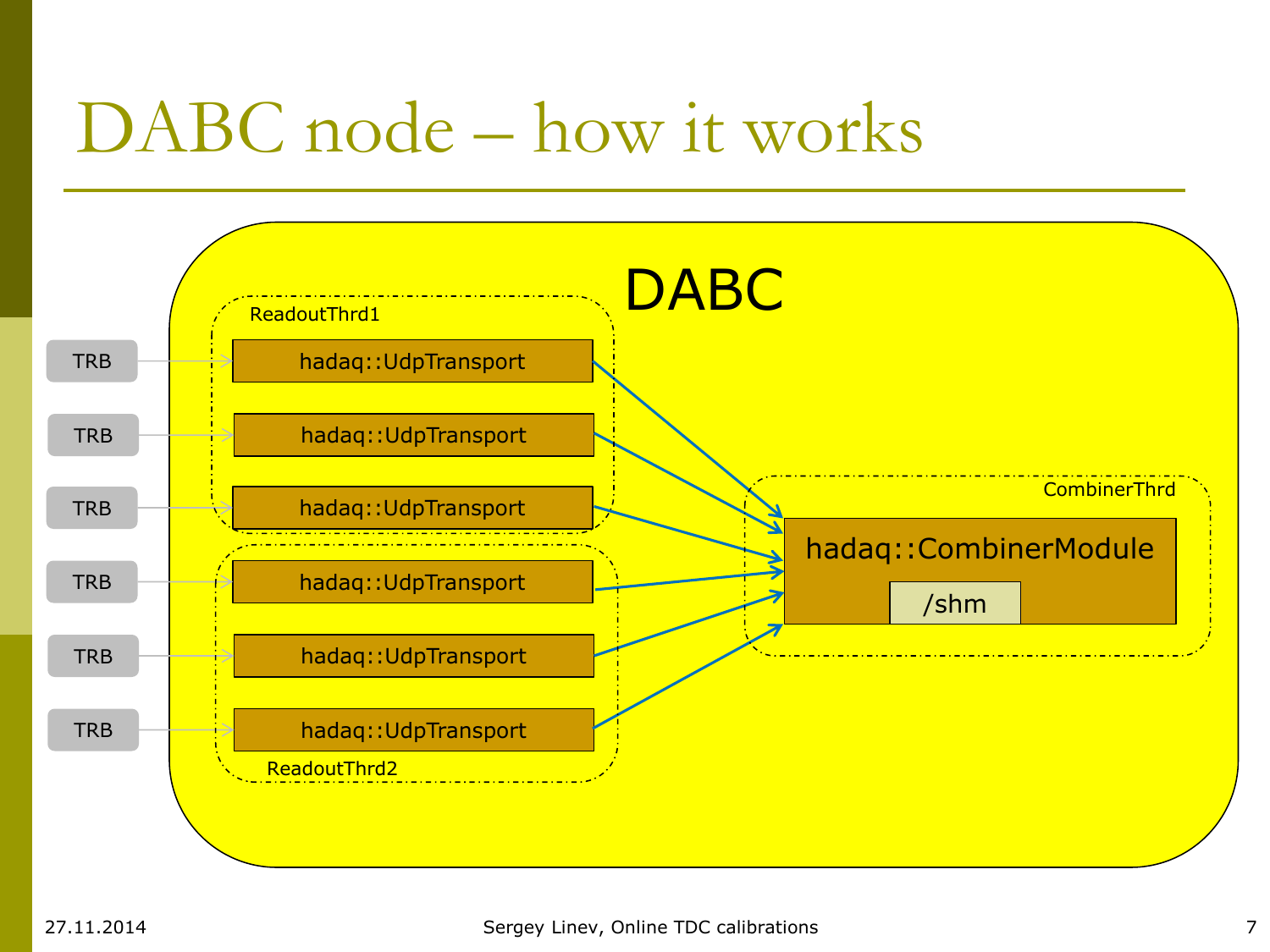## DABC node – how it works

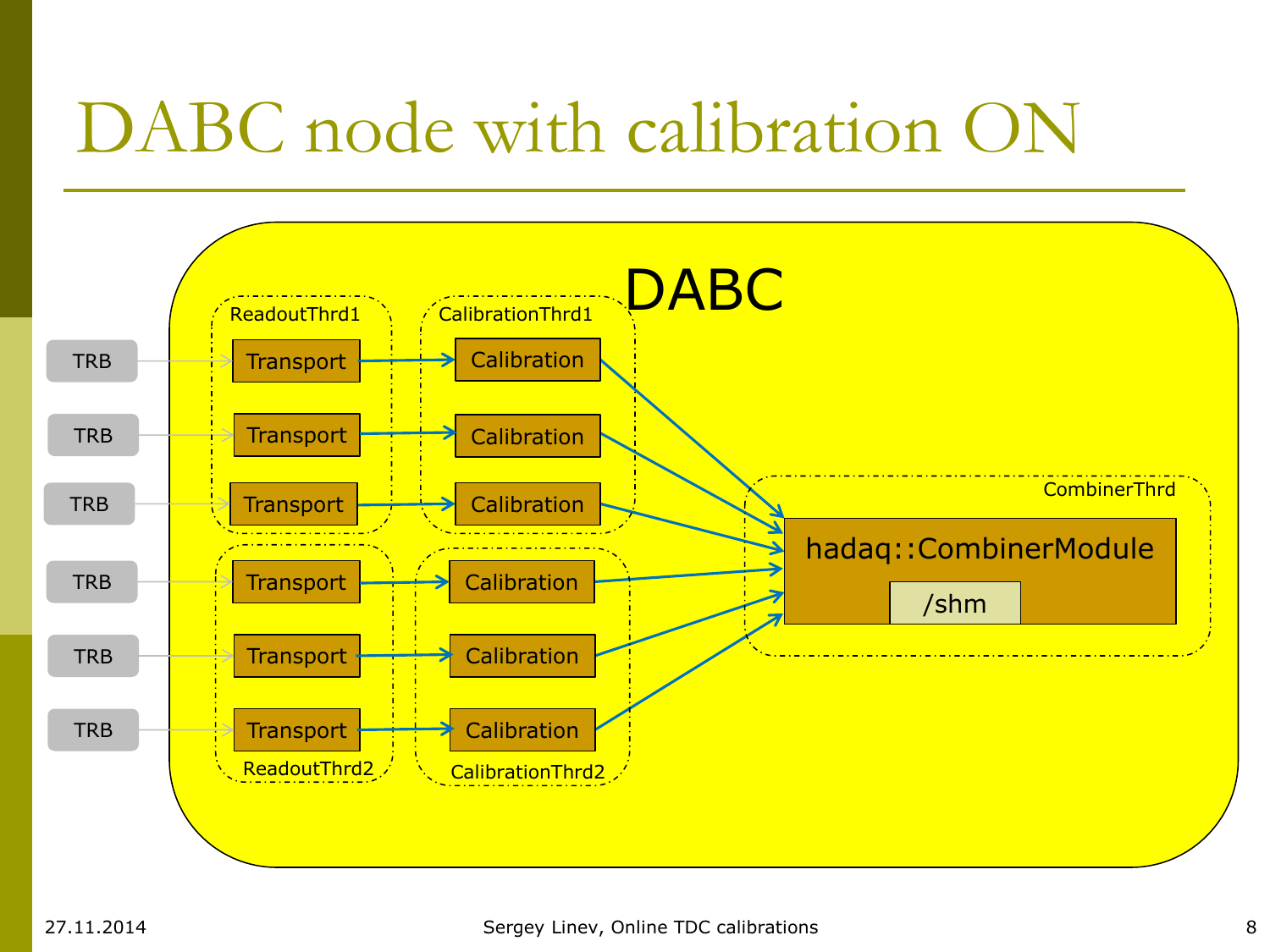## DABC node with calibration ON

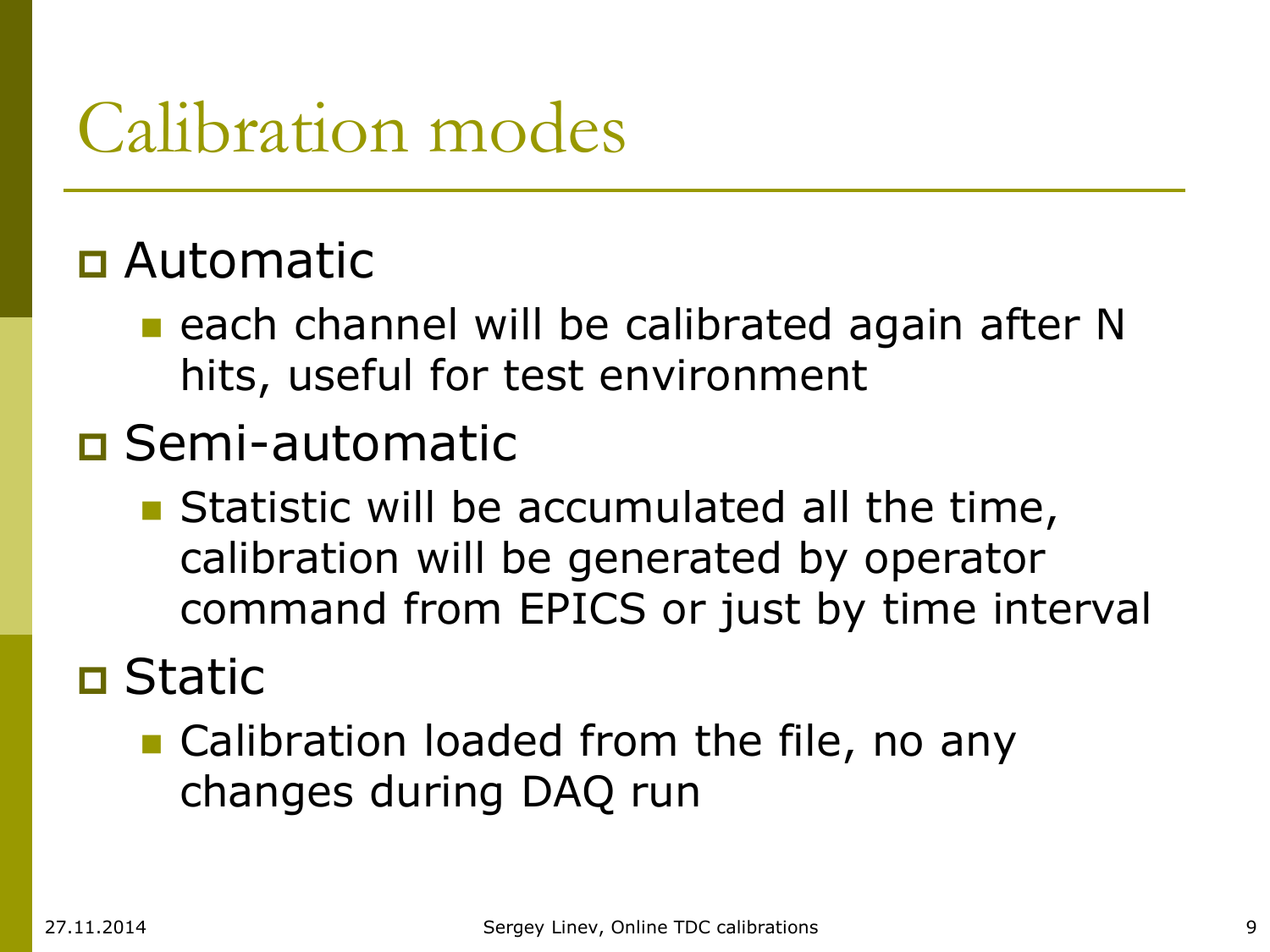## Calibration modes

### Automatic

**E** each channel will be calibrated again after N hits, useful for test environment

### Semi-automatic

**Statistic will be accumulated all the time,** calibration will be generated by operator command from EPICS or just by time interval

### Static

**Calibration loaded from the file, no any** changes during DAQ run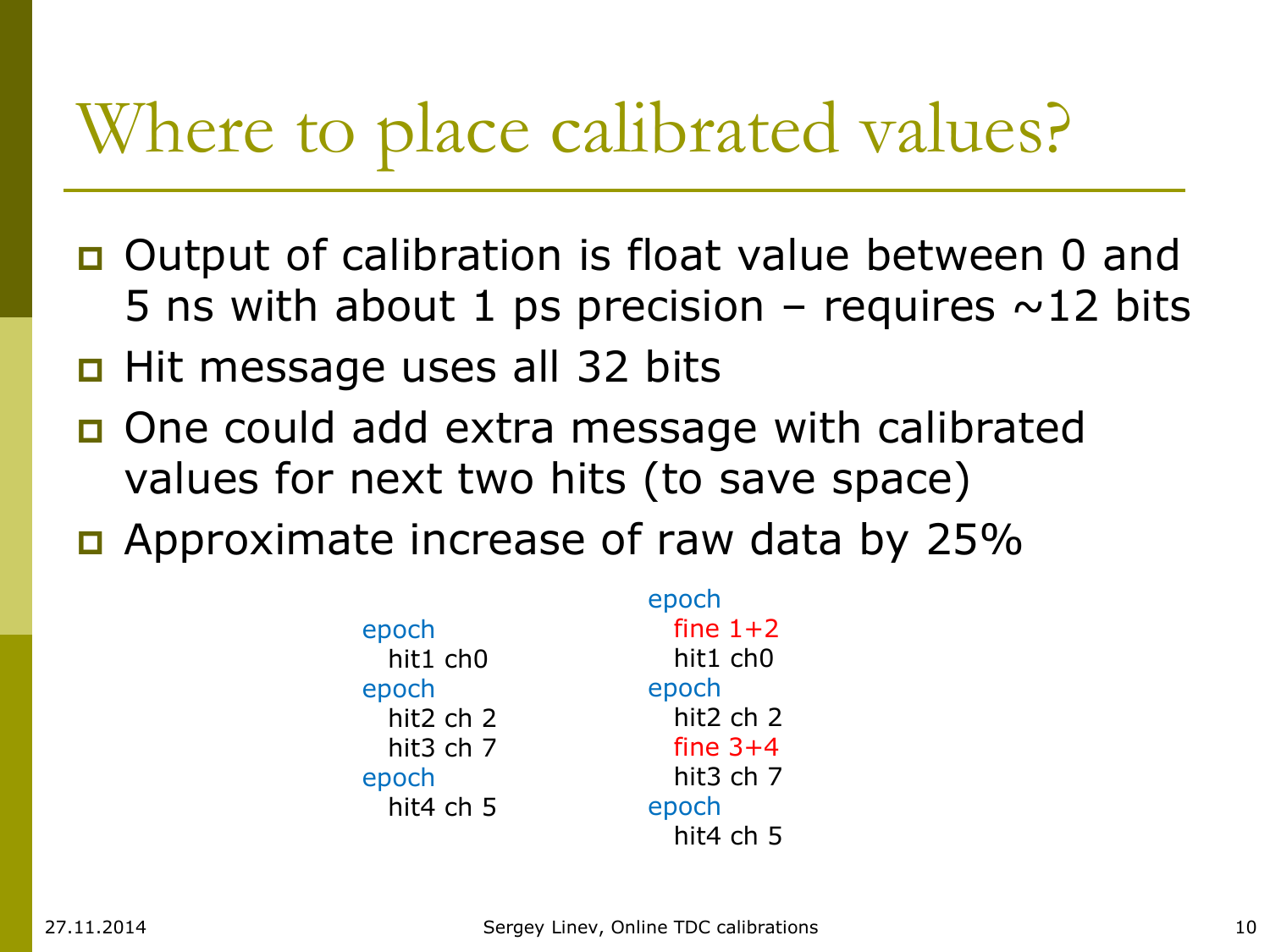## Where to place calibrated values?

- **Output of calibration is float value between 0 and** 5 ns with about 1 ps precision – requires  $\sim$  12 bits
- $\Box$  Hit message uses all 32 bits
- **One could add extra message with calibrated** values for next two hits (to save space)
- Approximate increase of raw data by 25%

|           | epoch          |
|-----------|----------------|
| epoch     | fine $1+2$     |
| hit1 ch0  | hit1 ch0       |
| epoch     | epoch          |
| hit2 ch 2 | hit2 ch 2      |
| hit3 ch 7 | fine $3+4$     |
| epoch     | hit $3$ ch $7$ |
| hit4 ch 5 | epoch          |
|           | hit4 ch 5      |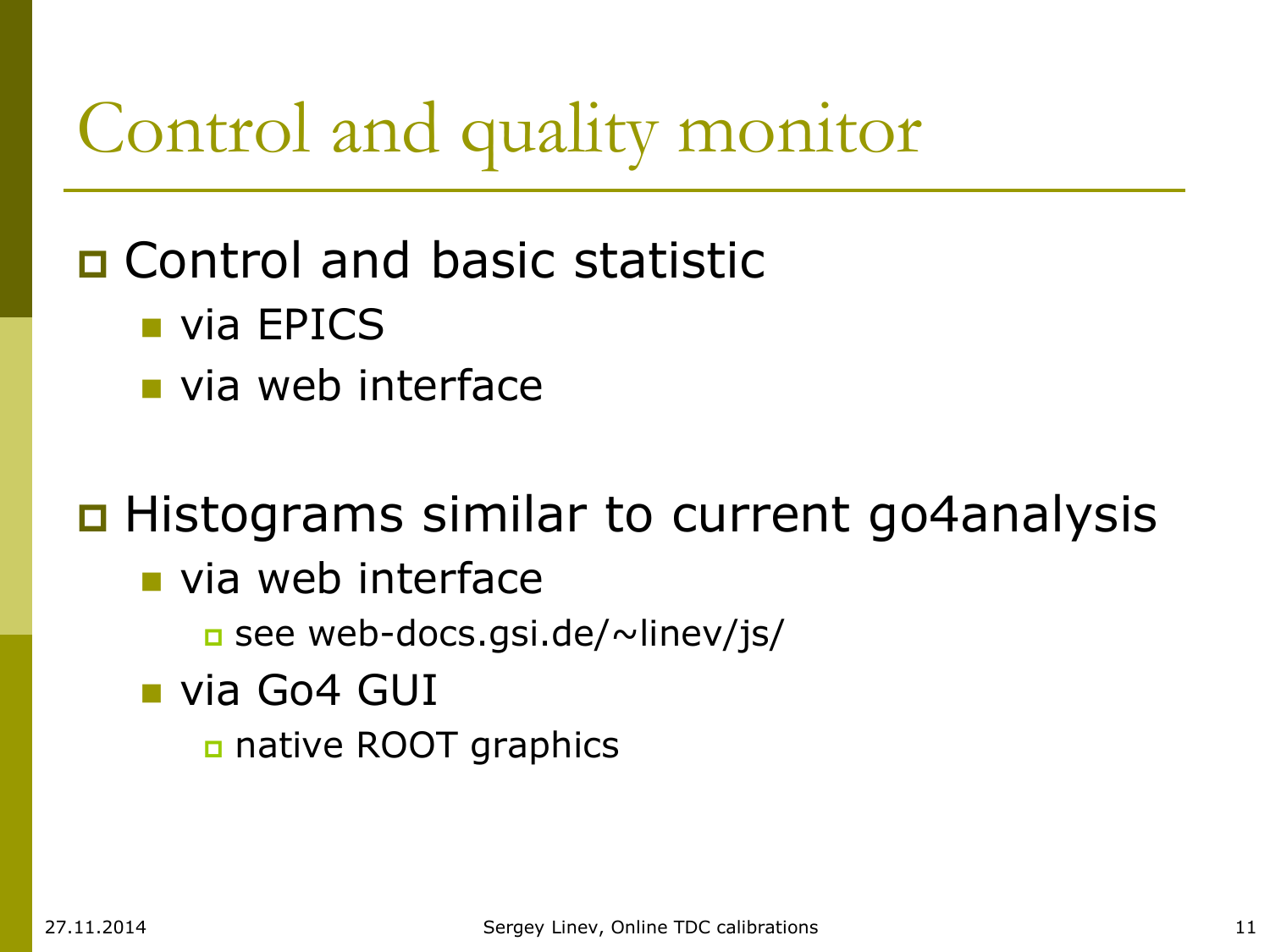## Control and quality monitor

### Control and basic statistic

- **via EPICS**
- via web interface

### **□ Histograms similar to current go4analysis**

- via web interface
	- see web-docs.gsi.de/~linev/js/
- **via Go4 GUI** 
	- native ROOT graphics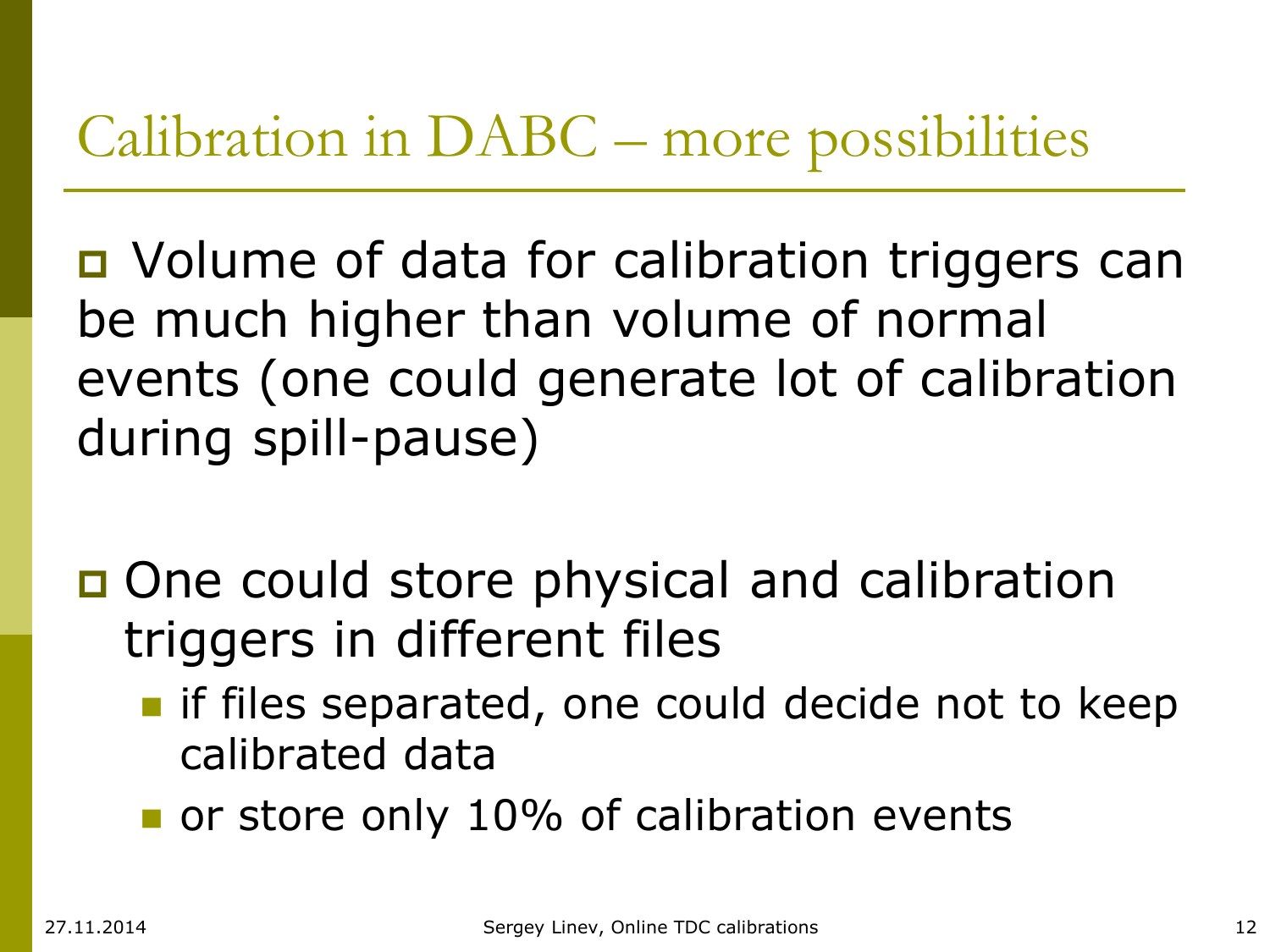### Calibration in DABC – more possibilities

■ Volume of data for calibration triggers can be much higher than volume of normal events (one could generate lot of calibration during spill-pause)

- □ One could store physical and calibration triggers in different files
	- **I** if files separated, one could decide not to keep calibrated data
	- or store only 10% of calibration events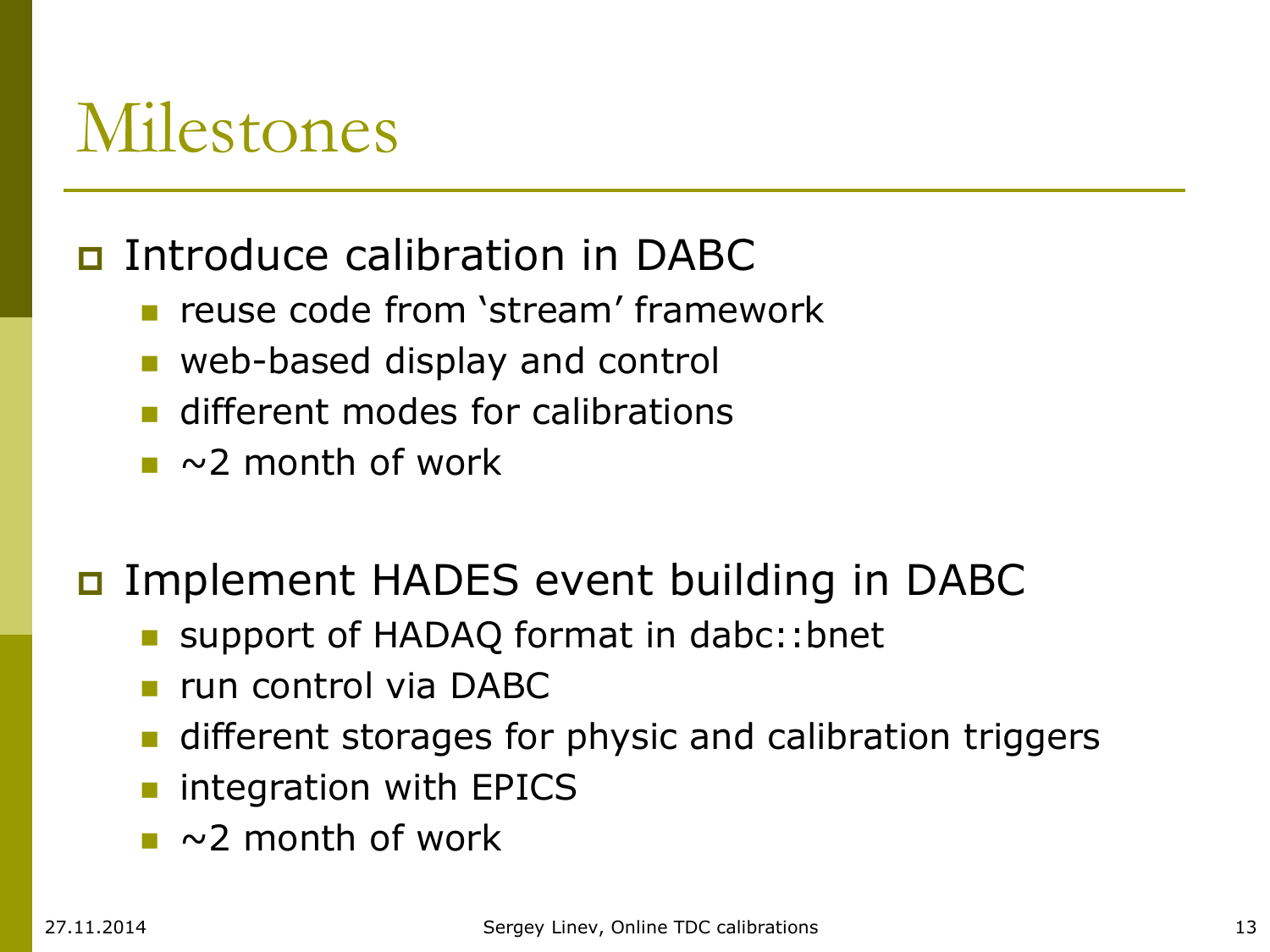### Milestones

#### **D** Introduce calibration in DABC

- reuse code from 'stream' framework
- **web-based display and control**
- **different modes for calibrations**
- $\sim$  2 month of work

#### Implement HADES event building in DABC

- support of HADAQ format in dabc::bnet
- **run control via DABC**
- **different storages for physic and calibration triggers**
- **n** integration with EPICS
- $\sim$  2 month of work